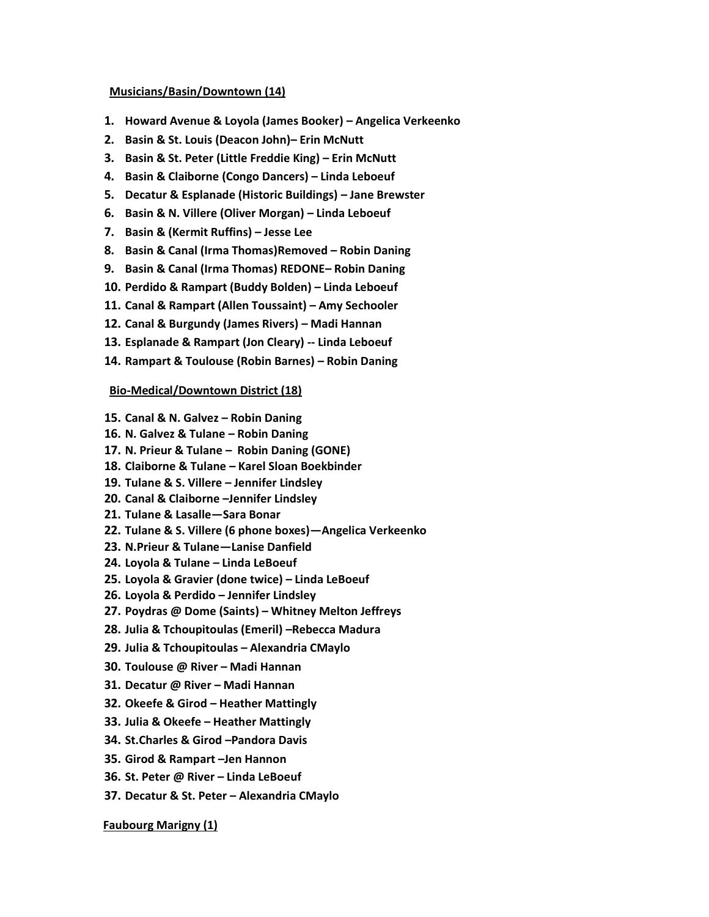#### **Musicians/Basin/Downtown (14)**

- **1. Howard Avenue & Loyola (James Booker) – Angelica Verkeenko**
- **2. Basin & St. Louis (Deacon John)– Erin McNutt**
- **3. Basin & St. Peter (Little Freddie King) – Erin McNutt**
- **4. Basin & Claiborne (Congo Dancers) – Linda Leboeuf**
- **5. Decatur & Esplanade (Historic Buildings) – Jane Brewster**
- **6. Basin & N. Villere (Oliver Morgan) – Linda Leboeuf**
- **7. Basin & (Kermit Ruffins) – Jesse Lee**
- **8. Basin & Canal (Irma Thomas)Removed – Robin Daning**
- **9. Basin & Canal (Irma Thomas) REDONE– Robin Daning**
- **10. Perdido & Rampart (Buddy Bolden) – Linda Leboeuf**
- **11. Canal & Rampart (Allen Toussaint) – Amy Sechooler**
- **12. Canal & Burgundy (James Rivers) – Madi Hannan**
- **13. Esplanade & Rampart (Jon Cleary) -- Linda Leboeuf**
- **14. Rampart & Toulouse (Robin Barnes) – Robin Daning**

#### **Bio-Medical/Downtown District (18)**

- **15. Canal & N. Galvez – Robin Daning**
- **16. N. Galvez & Tulane – Robin Daning**
- **17. N. Prieur & Tulane – Robin Daning (GONE)**
- **18. Claiborne & Tulane – Karel Sloan Boekbinder**
- **19. Tulane & S. Villere – Jennifer Lindsley**
- **20. Canal & Claiborne –Jennifer Lindsley**
- **21. Tulane & Lasalle—Sara Bonar**
- **22. Tulane & S. Villere (6 phone boxes)—Angelica Verkeenko**
- **23. N.Prieur & Tulane—Lanise Danfield**
- **24. Loyola & Tulane – Linda LeBoeuf**
- **25. Loyola & Gravier (done twice) – Linda LeBoeuf**
- **26. Loyola & Perdido – Jennifer Lindsley**
- **27. Poydras @ Dome (Saints) – Whitney Melton Jeffreys**
- **28. Julia & Tchoupitoulas (Emeril) –Rebecca Madura**
- **29. Julia & Tchoupitoulas – Alexandria CMaylo**
- **30. Toulouse @ River – Madi Hannan**
- **31. Decatur @ River – Madi Hannan**
- **32. Okeefe & Girod – Heather Mattingly**
- **33. Julia & Okeefe – Heather Mattingly**
- **34. St.Charles & Girod –Pandora Davis**
- **35. Girod & Rampart –Jen Hannon**
- **36. St. Peter @ River – Linda LeBoeuf**
- **37. Decatur & St. Peter – Alexandria CMaylo**

#### **Faubourg Marigny (1)**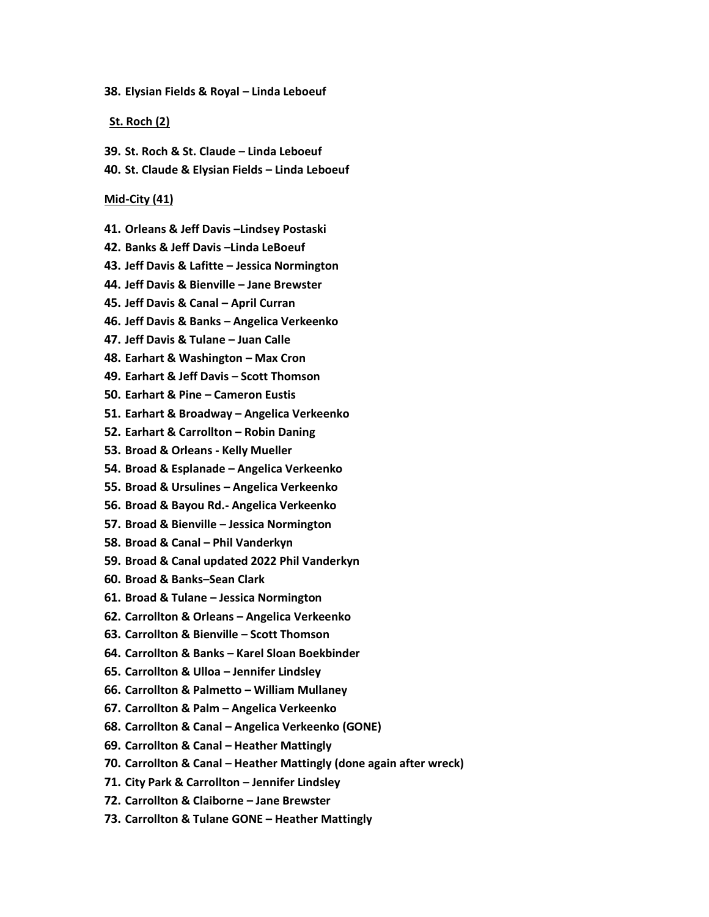**38. Elysian Fields & Royal – Linda Leboeuf**

#### **St. Roch (2)**

- **39. St. Roch & St. Claude – Linda Leboeuf**
- **40. St. Claude & Elysian Fields – Linda Leboeuf**

#### **Mid-City (41)**

- **41. Orleans & Jeff Davis –Lindsey Postaski**
- **42. Banks & Jeff Davis –Linda LeBoeuf**
- **43. Jeff Davis & Lafitte – Jessica Normington**
- **44. Jeff Davis & Bienville – Jane Brewster**
- **45. Jeff Davis & Canal – April Curran**
- **46. Jeff Davis & Banks – Angelica Verkeenko**
- **47. Jeff Davis & Tulane – Juan Calle**
- **48. Earhart & Washington – Max Cron**
- **49. Earhart & Jeff Davis – Scott Thomson**
- **50. Earhart & Pine – Cameron Eustis**
- **51. Earhart & Broadway – Angelica Verkeenko**
- **52. Earhart & Carrollton – Robin Daning**
- **53. Broad & Orleans - Kelly Mueller**
- **54. Broad & Esplanade – Angelica Verkeenko**
- **55. Broad & Ursulines – Angelica Verkeenko**
- **56. Broad & Bayou Rd.- Angelica Verkeenko**
- **57. Broad & Bienville – Jessica Normington**
- **58. Broad & Canal – Phil Vanderkyn**
- **59. Broad & Canal updated 2022 Phil Vanderkyn**
- **60. Broad & Banks–Sean Clark**
- **61. Broad & Tulane – Jessica Normington**
- **62. Carrollton & Orleans – Angelica Verkeenko**
- **63. Carrollton & Bienville – Scott Thomson**
- **64. Carrollton & Banks – Karel Sloan Boekbinder**
- **65. Carrollton & Ulloa – Jennifer Lindsley**
- **66. Carrollton & Palmetto – William Mullaney**
- **67. Carrollton & Palm – Angelica Verkeenko**
- **68. Carrollton & Canal – Angelica Verkeenko (GONE)**
- **69. Carrollton & Canal – Heather Mattingly**
- **70. Carrollton & Canal – Heather Mattingly (done again after wreck)**
- **71. City Park & Carrollton – Jennifer Lindsley**
- **72. Carrollton & Claiborne – Jane Brewster**
- **73. Carrollton & Tulane GONE – Heather Mattingly**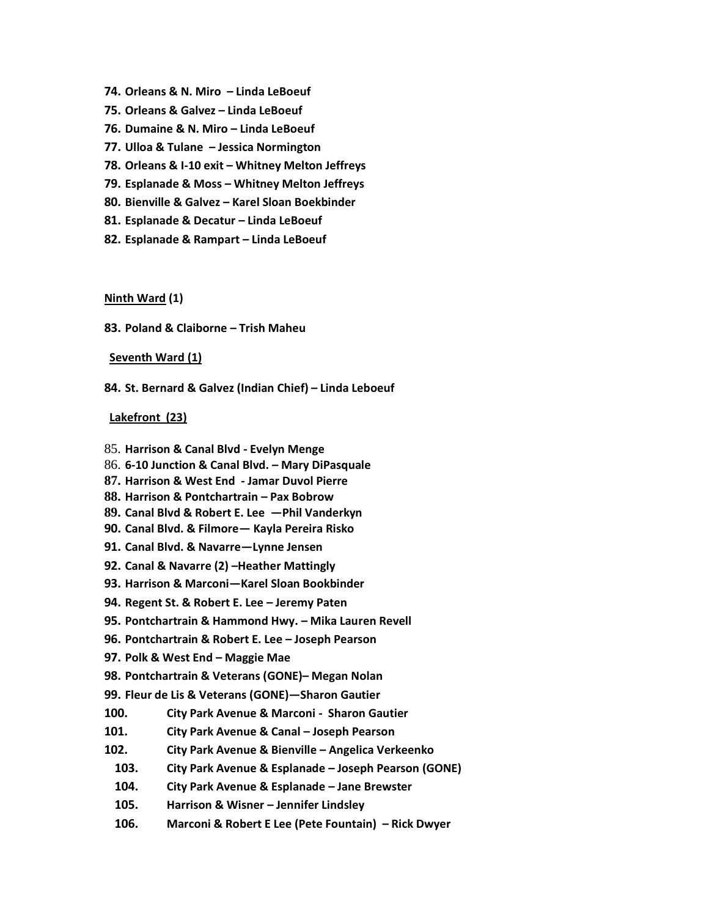- **74. Orleans & N. Miro – Linda LeBoeuf**
- **75. Orleans & Galvez – Linda LeBoeuf**
- **76. Dumaine & N. Miro – Linda LeBoeuf**
- **77. Ulloa & Tulane – Jessica Normington**
- **78. Orleans & I-10 exit – Whitney Melton Jeffreys**
- **79. Esplanade & Moss – Whitney Melton Jeffreys**
- **80. Bienville & Galvez – Karel Sloan Boekbinder**
- **81. Esplanade & Decatur – Linda LeBoeuf**
- **82. Esplanade & Rampart – Linda LeBoeuf**

**Ninth Ward (1)**

**83. Poland & Claiborne – Trish Maheu**

**Seventh Ward (1)**

**84. St. Bernard & Galvez (Indian Chief) – Linda Leboeuf**

#### **Lakefront (23)**

- 85. **Harrison & Canal Blvd - Evelyn Menge**
- 86. **6-10 Junction & Canal Blvd. – Mary DiPasquale**
- **87. Harrison & West End - Jamar Duvol Pierre**
- **88. Harrison & Pontchartrain – Pax Bobrow**
- **89. Canal Blvd & Robert E. Lee —Phil Vanderkyn**
- **90. Canal Blvd. & Filmore— Kayla Pereira Risko**
- **91. Canal Blvd. & Navarre—Lynne Jensen**
- **92. Canal & Navarre (2) –Heather Mattingly**
- **93. Harrison & Marconi—Karel Sloan Bookbinder**
- **94. Regent St. & Robert E. Lee – Jeremy Paten**
- **95. Pontchartrain & Hammond Hwy. – Mika Lauren Revell**
- **96. Pontchartrain & Robert E. Lee – Joseph Pearson**
- **97. Polk & West End – Maggie Mae**
- **98. Pontchartrain & Veterans (GONE)– Megan Nolan**
- **99. Fleur de Lis & Veterans (GONE)—Sharon Gautier**
- **100. City Park Avenue & Marconi Sharon Gautier**
- **101. City Park Avenue & Canal – Joseph Pearson**
- **102. City Park Avenue & Bienville – Angelica Verkeenko**
	- **103. City Park Avenue & Esplanade – Joseph Pearson (GONE)**
	- **104. City Park Avenue & Esplanade – Jane Brewster**
	- **105. Harrison & Wisner – Jennifer Lindsley**
	- **106. Marconi & Robert E Lee (Pete Fountain) – Rick Dwyer**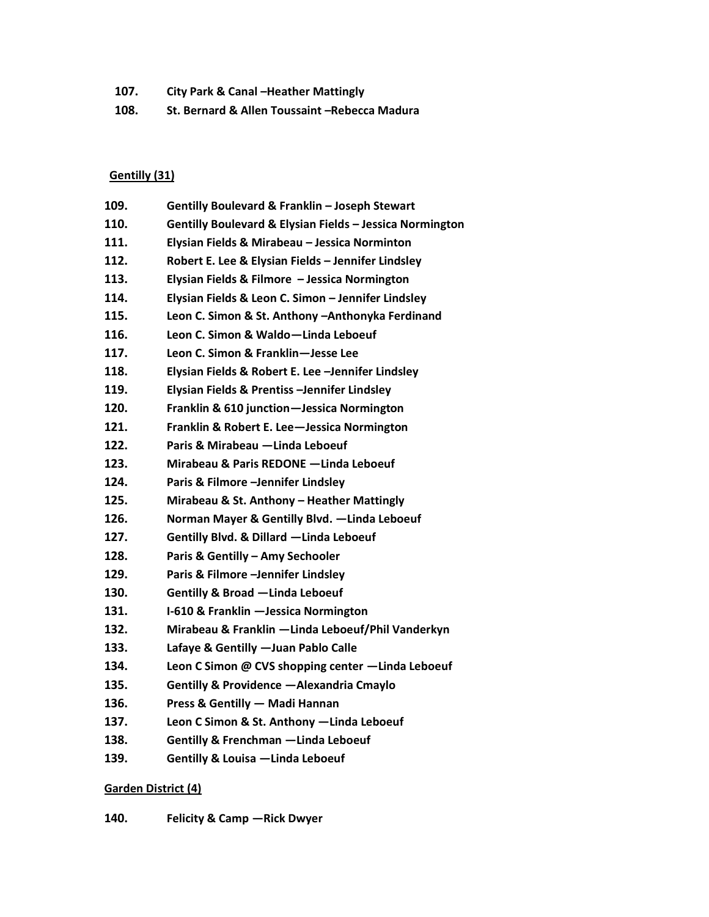**107. City Park & Canal –Heather Mattingly 108. St. Bernard & Allen Toussaint –Rebecca Madura**

## **Gentilly (31)**

| 109. | Gentilly Boulevard & Franklin - Joseph Stewart           |
|------|----------------------------------------------------------|
| 110. | Gentilly Boulevard & Elysian Fields - Jessica Normington |
| 111. | Elysian Fields & Mirabeau - Jessica Norminton            |
| 112. | Robert E. Lee & Elysian Fields - Jennifer Lindsley       |
| 113. | Elysian Fields & Filmore - Jessica Normington            |
| 114. | Elysian Fields & Leon C. Simon - Jennifer Lindsley       |
| 115. | Leon C. Simon & St. Anthony - Anthonyka Ferdinand        |
| 116. | Leon C. Simon & Waldo-Linda Leboeuf                      |
| 117. | Leon C. Simon & Franklin-Jesse Lee                       |
| 118. | Elysian Fields & Robert E. Lee -Jennifer Lindsley        |
| 119. | Elysian Fields & Prentiss -Jennifer Lindsley             |
| 120. | Franklin & 610 junction-Jessica Normington               |
| 121. | Franklin & Robert E. Lee-Jessica Normington              |
| 122. | Paris & Mirabeau - Linda Leboeuf                         |
| 123. | Mirabeau & Paris REDONE - Linda Leboeuf                  |
| 124. | Paris & Filmore -Jennifer Lindsley                       |
| 125. | Mirabeau & St. Anthony - Heather Mattingly               |
| 126. | Norman Mayer & Gentilly Blvd. - Linda Leboeuf            |
| 127. | Gentilly Blvd. & Dillard -Linda Leboeuf                  |
| 128. | Paris & Gentilly - Amy Sechooler                         |
| 129. | Paris & Filmore -Jennifer Lindsley                       |
| 130. | <b>Gentilly &amp; Broad -Linda Leboeuf</b>               |
| 131. | I-610 & Franklin - Jessica Normington                    |
| 132. | Mirabeau & Franklin -Linda Leboeuf/Phil Vanderkyn        |
| 133. | Lafaye & Gentilly - Juan Pablo Calle                     |
| 134. | Leon C Simon @ CVS shopping center -Linda Leboeuf        |
| 135. | Gentilly & Providence - Alexandria Cmaylo                |
| 136. | Press & Gentilly - Madi Hannan                           |
| 137. | Leon C Simon & St. Anthony - Linda Leboeuf               |
| 138. | Gentilly & Frenchman - Linda Leboeuf                     |
|      |                                                          |

**139. Gentilly & Louisa —Linda Leboeuf**

# **Garden District (4)**

**140. Felicity & Camp —Rick Dwyer**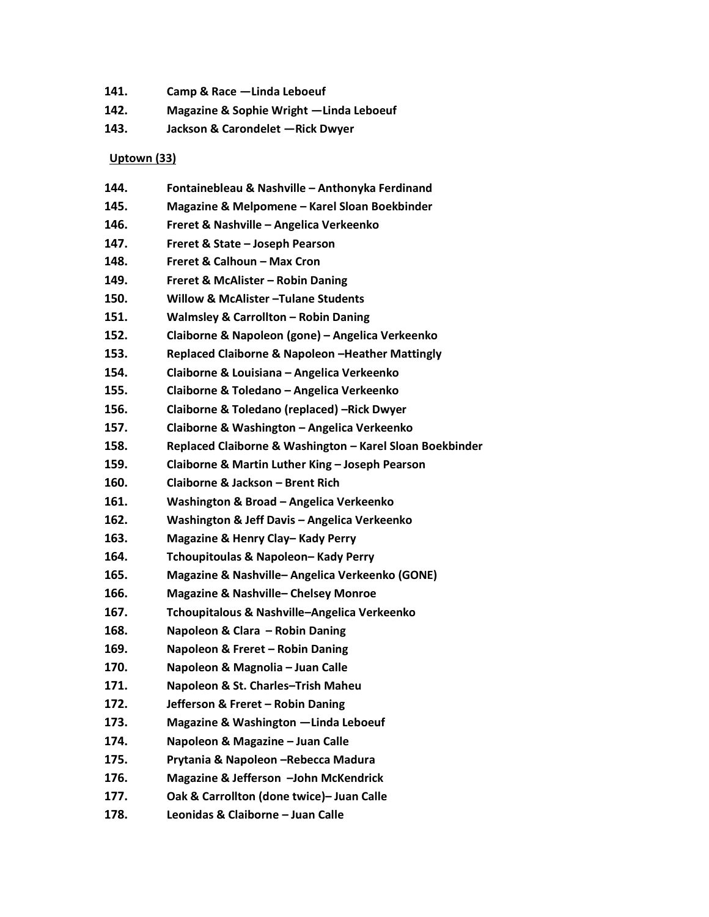- **141. Camp & Race —Linda Leboeuf**
- **142. Magazine & Sophie Wright —Linda Leboeuf**
- **143. Jackson & Carondelet —Rick Dwyer**

## **Uptown (33)**

| 144. | Fontainebleau & Nashville - Anthonyka Ferdinand          |
|------|----------------------------------------------------------|
| 145. | Magazine & Melpomene - Karel Sloan Boekbinder            |
| 146. | Freret & Nashville - Angelica Verkeenko                  |
| 147. | Freret & State - Joseph Pearson                          |
| 148. | Freret & Calhoun - Max Cron                              |
| 149. | <b>Freret &amp; McAlister - Robin Daning</b>             |
| 150. | Willow & McAlister - Tulane Students                     |
| 151. | <b>Walmsley &amp; Carrollton - Robin Daning</b>          |
| 152. | Claiborne & Napoleon (gone) - Angelica Verkeenko         |
| 153. | Replaced Claiborne & Napoleon -Heather Mattingly         |
| 154. | Claiborne & Louisiana - Angelica Verkeenko               |
| 155. | Claiborne & Toledano - Angelica Verkeenko                |
| 156. | Claiborne & Toledano (replaced) -Rick Dwyer              |
| 157. | Claiborne & Washington - Angelica Verkeenko              |
| 158. | Replaced Claiborne & Washington - Karel Sloan Boekbinder |
| 159. | Claiborne & Martin Luther King - Joseph Pearson          |
| 160. | Claiborne & Jackson - Brent Rich                         |
| 161. | Washington & Broad - Angelica Verkeenko                  |
| 162. | Washington & Jeff Davis - Angelica Verkeenko             |
| 163. | Magazine & Henry Clay-Kady Perry                         |
| 164. | Tchoupitoulas & Napoleon-Kady Perry                      |
| 165. | Magazine & Nashville-Angelica Verkeenko (GONE)           |
| 166. | <b>Magazine &amp; Nashville-Chelsey Monroe</b>           |
| 167. | Tchoupitalous & Nashville-Angelica Verkeenko             |
| 168. | Napoleon & Clara - Robin Daning                          |
| 169. | Napoleon & Freret - Robin Daning                         |
| 170. | Napoleon & Magnolia - Juan Calle                         |
| 171. | Napoleon & St. Charles-Trish Maheu                       |
| 172. | Jefferson & Freret - Robin Daning                        |
| 173. | Magazine & Washington -Linda Leboeuf                     |
| 174. | Napoleon & Magazine - Juan Calle                         |
| 175. | Prytania & Napoleon - Rebecca Madura                     |
| 176. | Magazine & Jefferson -John McKendrick                    |
| 177. | Oak & Carrollton (done twice)- Juan Calle                |
| 178. | Leonidas & Claiborne - Juan Calle                        |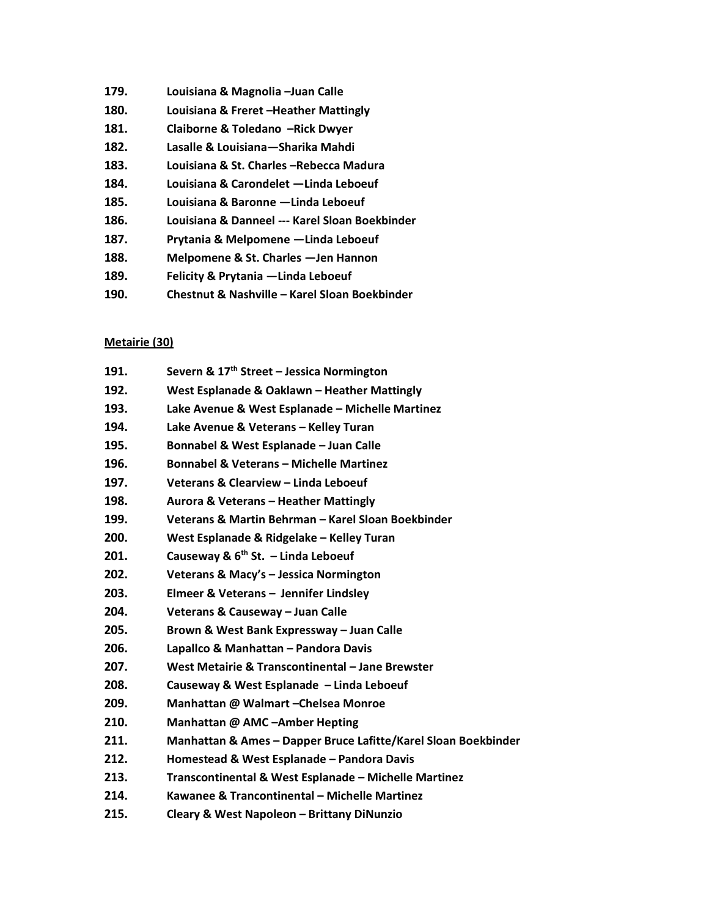- **179. Louisiana & Magnolia –Juan Calle**
- **180. Louisiana & Freret –Heather Mattingly**
- **181. Claiborne & Toledano –Rick Dwyer**
- **182. Lasalle & Louisiana—Sharika Mahdi**
- **183. Louisiana & St. Charles –Rebecca Madura**
- **184. Louisiana & Carondelet —Linda Leboeuf**
- **185. Louisiana & Baronne —Linda Leboeuf**
- **186. Louisiana & Danneel --- Karel Sloan Boekbinder**
- **187. Prytania & Melpomene —Linda Leboeuf**
- **188. Melpomene & St. Charles —Jen Hannon**
- **189. Felicity & Prytania —Linda Leboeuf**
- **190. Chestnut & Nashville – Karel Sloan Boekbinder**

#### **Metairie (30)**

| 191. | Severn & 17 <sup>th</sup> Street - Jessica Normington          |
|------|----------------------------------------------------------------|
| 192. | West Esplanade & Oaklawn - Heather Mattingly                   |
| 193. | Lake Avenue & West Esplanade - Michelle Martinez               |
| 194. | Lake Avenue & Veterans - Kelley Turan                          |
| 195. | Bonnabel & West Esplanade - Juan Calle                         |
| 196. | <b>Bonnabel &amp; Veterans - Michelle Martinez</b>             |
| 197. | Veterans & Clearview - Linda Leboeuf                           |
| 198. | Aurora & Veterans - Heather Mattingly                          |
| 199. | Veterans & Martin Behrman - Karel Sloan Boekbinder             |
| 200. | West Esplanade & Ridgelake - Kelley Turan                      |
| 201. | Causeway & $6th$ St. - Linda Leboeuf                           |
| 202. | Veterans & Macy's - Jessica Normington                         |
| 203. | Elmeer & Veterans - Jennifer Lindsley                          |
| 204. | Veterans & Causeway - Juan Calle                               |
| 205. | Brown & West Bank Expressway - Juan Calle                      |
| 206. | Lapallco & Manhattan - Pandora Davis                           |
| 207. | West Metairie & Transcontinental - Jane Brewster               |
| 208. | Causeway & West Esplanade - Linda Leboeuf                      |
| 209. | Manhattan @ Walmart - Chelsea Monroe                           |
| 210. | Manhattan @ AMC-Amber Hepting                                  |
| 211. | Manhattan & Ames - Dapper Bruce Lafitte/Karel Sloan Boekbinder |
| 212. | Homestead & West Esplanade - Pandora Davis                     |
| 213. | Transcontinental & West Esplanade - Michelle Martinez          |
| 214. | Kawanee & Trancontinental - Michelle Martinez                  |
| 215. | Cleary & West Napoleon - Brittany DiNunzio                     |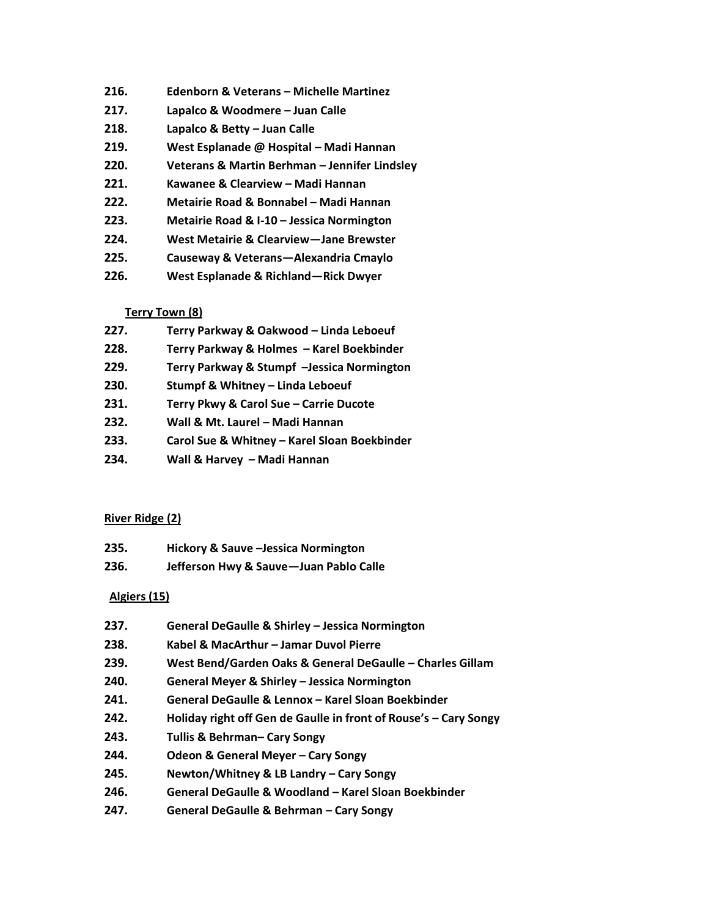- **216. Edenborn & Veterans – Michelle Martinez**
- **217. Lapalco & Woodmere – Juan Calle**
- **218. Lapalco & Betty – Juan Calle**
- **219. West Esplanade @ Hospital – Madi Hannan**
- **220. Veterans & Martin Berhman – Jennifer Lindsley**
- **221. Kawanee & Clearview – Madi Hannan**
- **222. Metairie Road & Bonnabel – Madi Hannan**
- **223. Metairie Road & I-10 – Jessica Normington**
- **224. West Metairie & Clearview—Jane Brewster**
- **225. Causeway & Veterans—Alexandria Cmaylo**
- **226. West Esplanade & Richland—Rick Dwyer**

## **Terry Town (8)**

- **227. Terry Parkway & Oakwood – Linda Leboeuf**
- **228. Terry Parkway & Holmes – Karel Boekbinder**
- **229. Terry Parkway & Stumpf –Jessica Normington**
- **230. Stumpf & Whitney – Linda Leboeuf**
- **231. Terry Pkwy & Carol Sue – Carrie Ducote**
- **232. Wall & Mt. Laurel – Madi Hannan**
- **233. Carol Sue & Whitney – Karel Sloan Boekbinder**
- **234. Wall & Harvey – Madi Hannan**

## **River Ridge (2)**

- **235. Hickory & Sauve –Jessica Normington**
- **236. Jefferson Hwy & Sauve—Juan Pablo Calle**

# **Algiers (15)**

- **237. General DeGaulle & Shirley – Jessica Normington**
- **238. Kabel & MacArthur – Jamar Duvol Pierre**
- **239. West Bend/Garden Oaks & General DeGaulle – Charles Gillam**
- **240. General Meyer & Shirley – Jessica Normington**
- **241. General DeGaulle & Lennox – Karel Sloan Boekbinder**
- **242. Holiday right off Gen de Gaulle in front of Rouse's – Cary Songy**
- **243. Tullis & Behrman– Cary Songy**
- **244. Odeon & General Meyer – Cary Songy**
- **245. Newton/Whitney & LB Landry – Cary Songy**
- **246. General DeGaulle & Woodland – Karel Sloan Boekbinder**
- **247. General DeGaulle & Behrman – Cary Songy**